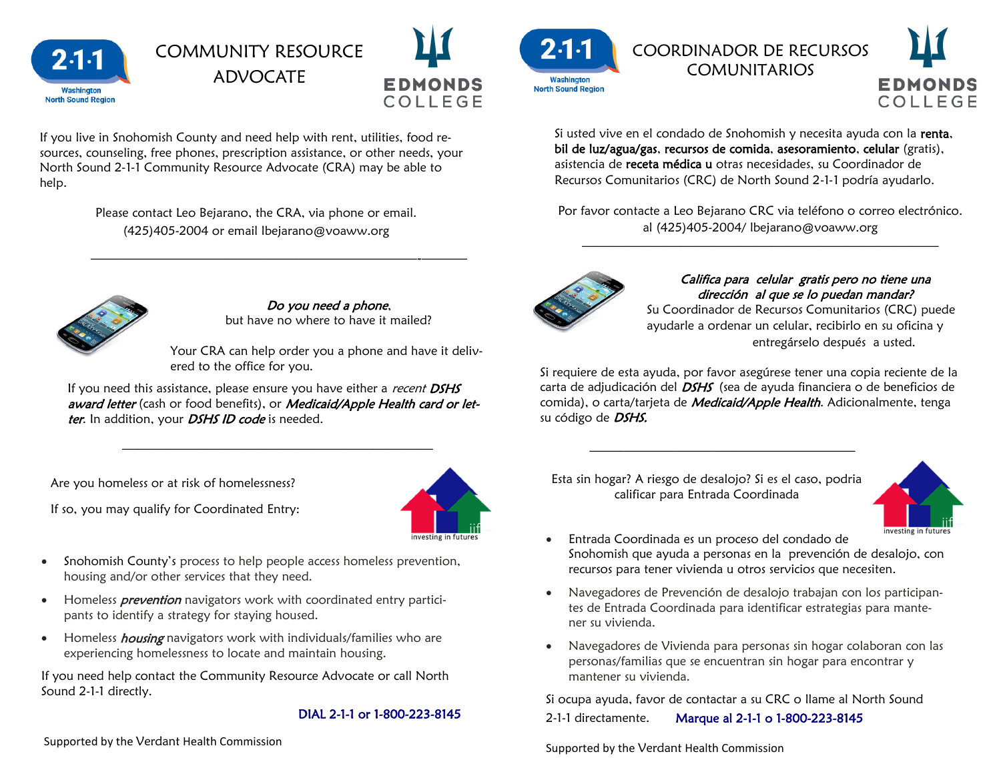

# COMMUNITY RESOURCE ADVOCATE



If you live in Snohomish County and need help with rent, utilities, food resources, counseling, free phones, prescription assistance, or other needs, your North Sound 2‐1‐1 Community Resource Advocate (CRA) may be able to help.

> Please contact Leo Bejarano, the CRA, via phone or email. (425)405-2004 or email lbejarano@voaww.org

 $\overline{\phantom{a}}$  , and the contract of the contract of the contract of the contract of the contract of the contract of the contract of the contract of the contract of the contract of the contract of the contract of the contrac



Do you need a phone, but have no where to have it mailed?

Your CRA can help order you a phone and have it delivered to the office for you.

If you need this assistance, please ensure you have either a *recent DSHS* award letter (cash or food benefits), or Medicaid/Apple Health card or letter. In addition, your *DSHS ID code* is needed.

—————–—–——–———————————

Are you homeless or at risk of homelessness?



If so, you may qualify for Coordinated Entry:

- Snohomish County's process to help people access homeless prevention, housing and/or other services that they need.
- Homeless *prevention* navigators work with coordinated entry participants to identify a strategy for staying housed.
- Homeless *housing* navigators work with individuals/families who are experiencing homelessness to locate and maintain housing.

If you need help contact the Community Resource Advocate or call North Sound 2-1-1 directly.

### DIAL 2-1-1 or 1-800-223-8145

Supported by the Verdant Health Commission Supported by the Verdant Health Commission

 $2.1.$ **Washington North Sound Regior** 

COORDINADOR DE RECURSOS **COMUNITARIOS** 



Si usted vive en el condado de Snohomish y necesita ayuda con la renta, bil de luz/agua/gas, recursos de comida, asesoramiento, celular (gratis), asistencia de receta médica u otras necesidades, su Coordinador de Recursos Comunitarios (CRC) de North Sound 2‐1‐1 podría ayudarlo.

Por favor contacte a Leo Bejarano CRC via teléfono o correo electrónico. al (425)405-2004/ lbejarano@voaww.org

————–———————————————————



Califica para celular gratis pero no tiene una dirección al que se lo puedan mandar?

Su Coordinador de Recursos Comunitarios (CRC) puede ayudarle a ordenar un celular, recibirlo en su oficina y entregárselo después a usted.

Si requiere de esta ayuda, por favor asegúrese tener una copia reciente de la carta de adjudicación del *DSHS* (sea de ayuda financiera o de beneficios de comida), o carta/tarjeta de *Medicaid/Apple Health*. Adicionalmente, tenga su código de **DSHS.** 

Esta sin hogar? A riesgo de desalojo? Si es el caso, podria calificar para Entrada Coordinada

 $\overline{\phantom{a}}$  , and the contract of the contract of the contract of the contract of the contract of the contract of the contract of the contract of the contract of the contract of the contract of the contract of the contrac



- Entrada Coordinada es un proceso del condado de Snohomish que ayuda a personas en la prevención de desalojo, con recursos para tener vivienda u otros servicios que necesiten.
- Navegadores de Prevención de desalojo trabajan con los participantes de Entrada Coordinada para identificar estrategias para mantener su vivienda.
- Navegadores de Vivienda para personas sin hogar colaboran con las personas/familias que se encuentran sin hogar para encontrar y mantener su vivienda.

Si ocupa ayuda, favor de contactar a su CRC o llame al North Sound 2-1-1 directamente. Marque al 2-1-1 o 1-800-223-8145